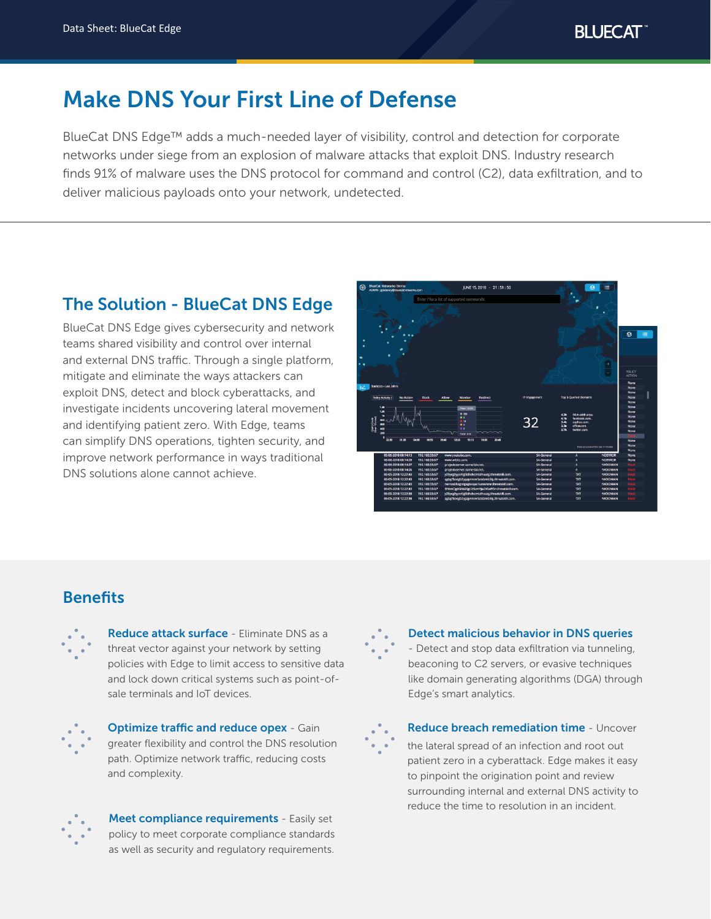# Make DNS Your First Line of Defense

BlueCat DNS Edge™ adds a much-needed layer of visibility, control and detection for corporate networks under siege from an explosion of malware attacks that exploit DNS. Industry research finds 91% of malware uses the DNS protocol for command and control (C2), data exfiltration, and to deliver malicious payloads onto your network, undetected.

# The Solution - BlueCat DNS Edge

BlueCat DNS Edge gives cybersecurity and network teams shared visibility and control over internal and external DNS traffic. Through a single platform, mitigate and eliminate the ways attackers can exploit DNS, detect and block cyberattacks, and investigate incidents uncovering lateral movement and identifying patient zero. With Edge, teams can simplify DNS operations, tighten security, and improve network performance in ways traditional DNS solutions alone cannot achieve.



## **Benefits**



Reduce attack surface - Eliminate DNS as a threat vector against your network by setting policies with Edge to limit access to sensitive data and lock down critical systems such as point-ofsale terminals and IoT devices.



**Optimize traffic and reduce opex - Gain** greater flexibility and control the DNS resolution path. Optimize network traffic, reducing costs and complexity.



Meet compliance requirements - Easily set policy to meet corporate compliance standards as well as security and regulatory requirements.

Detect malicious behavior in DNS queries - Detect and stop data exfiltration via tunneling, beaconing to C2 servers, or evasive techniques like domain generating algorithms (DGA) through Edge's smart analytics.



Reduce breach remediation time - Uncover the lateral spread of an infection and root out patient zero in a cyberattack. Edge makes it easy to pinpoint the origination point and review surrounding internal and external DNS activity to reduce the time to resolution in an incident.